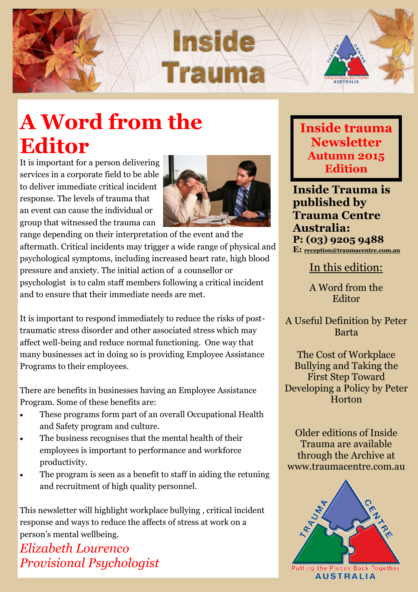

## **A Word from the Editor**

It is important for a person delivering services in a corporate field to be able to deliver immediate critical incident response. The levels of trauma that an event can cause the individual or group that witnessed the trauma can



range depending on their interpretation of the event and the aftermath. Critical incidents may trigger a wide range of physical and psychological symptoms, including increased heart rate, high blood pressure and anxiety. The initial action of a counsellor or psychologist is to calm staff members following a critical incident and to ensure that their immediate needs are met.

It is important to respond immediately to reduce the risks of posttraumatic stress disorder and other associated stress which may affect well-being and reduce normal functioning. One way that many businesses act in doing so is providing Employee Assistance Programs to their employees.

There are benefits in businesses having an Employee Assistance Program. Some of these benefits are:

- These programs form part of an overall Occupational Health and Safety program and culture.
- The business recognises that the mental health of their employees is important to performance and workforce productivity.
- The program is seen as a benefit to staff in aiding the retuning and recruitment of high quality personnel.

This newsletter will highlight workplace bullying , critical incident response and ways to reduce the affects of stress at work on a person's mental wellbeing.

*Elizabeth Lourenco Provisional Psychologist* **Inside trauma Newsletter Autumn 2015 Edition**

**Inside Trauma is published by Trauma Centre Australia: P: (03) 9205 9488 E: [reception@traumacentre.com.au](mailto:reception@traumacentre.com.au)**

In this edition:

A Word from the Editor

A Useful Definition by Peter Barta

The Cost of Workplace Bullying and Taking the First Step Toward Developing a Policy by Peter Horton

Older editions of Inside Trauma are available through the Archive at www.traumacentre.com.au

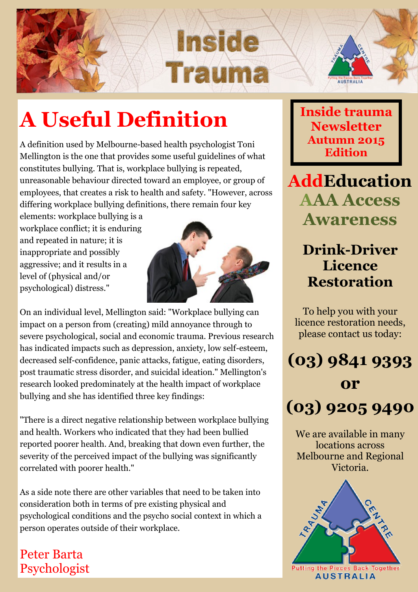



# **A Useful Definition**

A definition used by Melbourne-based health psychologist Toni Mellington is the one that provides some useful guidelines of what constitutes bullying. That is, workplace bullying is repeated, unreasonable behaviour directed toward an employee, or group of employees, that creates a risk to health and safety. "However, across differing workplace bullying definitions, there remain four key

elements: workplace bullying is a workplace conflict; it is enduring and repeated in nature; it is inappropriate and possibly aggressive; and it results in a level of (physical and/or psychological) distress."



On an individual level, Mellington said: "Workplace bullying can impact on a person from (creating) mild annoyance through to severe psychological, social and economic trauma. Previous research has indicated impacts such as depression, anxiety, low self-esteem, decreased self-confidence, panic attacks, fatigue, eating disorders, post traumatic stress disorder, and suicidal ideation." Mellington's research looked predominately at the health impact of workplace bullying and she has identified three key findings:

"There is a direct negative relationship between workplace bullying and health. Workers who indicated that they had been bullied reported poorer health. And, breaking that down even further, the severity of the perceived impact of the bullying was significantly correlated with poorer health."

As a side note there are other variables that need to be taken into consideration both in terms of pre existing physical and psychological conditions and the psycho social context in which a person operates outside of their workplace.

## Peter Barta Psychologist

**Inside trauma Newsletter Autumn 2015 Edition**

**AddEducation AAA Access Awareness**

## **Drink-Driver Licence Restoration**

To help you with your licence restoration needs, please contact us today:



We are available in many locations across Melbourne and Regional Victoria.

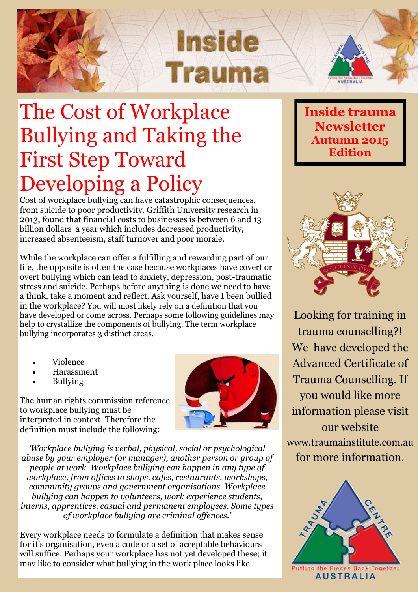

## The Cost of Workplace Bullying and Taking the First Step Toward Developing a Policy

Cost of workplace bullying can have catastrophic consequences, from suicide to poor productivity. Griffith University research in 2013, found that financial costs to businesses is between 6 and 13 billion dollars a year which includes decreased productivity, increased absenteeism, staff turnover and poor morale.

While the workplace can offer a fulfilling and rewarding part of our life, the opposite is often the case because workplaces have covert or overt bullying which can lead to anxiety, depression, post-traumatic stress and suicide. Perhaps before anything is done we need to have a think, take a moment and reflect. Ask yourself, have I been bullied in the workplace? You will most likely rely on a definition that you have developed or come across. Perhaps some following guidelines may help to crystallize the components of bullying. The term workplace bullying incorporates 3 distinct areas.

- Violence
- Harassment
- Bullying

The human rights commission reference to workplace bullying must be interpreted in context. Therefore the definition must include the following:

*'Workplace bullying is verbal, physical, social or psychological abuse by your employer (or manager), another person or group of people at work. Workplace bullying can happen in any type of workplace, from offices to shops, cafes, restaurants, workshops, community groups and government organisations. Workplace bullying can happen to volunteers, work experience students, interns, apprentices, casual and permanent employees. Some types of workplace bullying are criminal offences.'*

Every workplace needs to formulate a definition that makes sense for it's organisation, even a code or a set of acceptable behaviours will suffice. Perhaps your workplace has not yet developed these; it may like to consider what bullying in the work place looks like.





Looking for training in trauma counselling?! We have developed the Advanced Certificate of Trauma Counselling. If you would like more information please visit our website www.traumainstitute.com.au for more information.